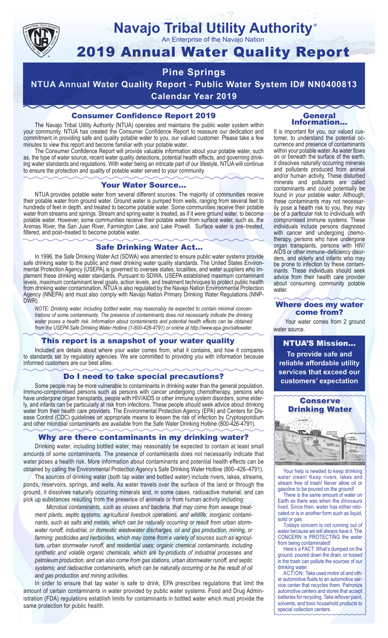

## **Navajo Tribal Utility Authority** ®

An Enterprise of the Navajo Nation

# 2019 Annual Water Quality Report

## **Pine Springs**

**NTUA Annual Water Quality Report - Public Water System ID# NN0400813 Calendar Year 2019**

## Consumer Confidence Report 2019

The Navajo Tribal Utility Authority (NTUA) operates and maintains the public water system within your community. NTUA has created the Consumer Confidence Report to reassure our dedication and commitment in providing safe and quality potable water to you, our valued customer. Please take a few minutes to view this report and become familiar with your potable water.

The Consumer Confidence Report will provide valuable information about your potable water, such as, the type of water source, recent water quality detections, potential health effects, and governing drinking water standards and regulations. With water being an intricate part of our lifestyle, NTUA will continue to ensure the protection and quality of potable water served to your community.

#### Your Water Source…

NTUA provides potable water from several different sources. The majority of communities receive their potable water from ground water. Ground water is pumped from wells, ranging from several feet to hundreds of feet in depth, and treated to become potable water. Some communities receive their potable water from streams and springs. Stream and spring water is treated, as if it were ground water, to become potable water. However, some communities receive their potable water from surface water, such as, the Animas River, the San Juan River, Farmington Lake, and Lake Powell. Surface water is pre–treated, filtered, and post–treated to become potable water.

#### Safe Drinking Water Act…

In 1996, the Safe Drinking Water Act (SDWA) was amended to ensure public water systems provide safe drinking water to the public and meet drinking water quality standards. The United States Environmental Protection Agency (USEPA) is governed to oversee states, localities, and water suppliers who implement these drinking water standards. Pursuant to SDWA, USEPA established maximum contaminant levels, maximum contaminant level goals, action levels, and treatment techniques to protect public health from drinking water contamination. NTUA is also regulated by the Navajo Nation Environmental Protection Agency (NNEPA) and must also comply with Navajo Nation Primary Drinking Water Regulations (NNP-DWR)

*NOTE: Drinking water, including bottled water, may reasonably be expected to contain minimal concentrations of some contaminants. The presence of contaminants does not necessarily indicate the drinking water poses a health risk. Information about contaminants and potential health effects can be obtained from the USEPA Safe Drinking Water Hotline (1-800-426-4791) or online at http://www.epa.gov/safewater.*

#### This report is a snapshot of your water quality

Included are details about where your water comes from, what it contains, and how it compares to standards set by regulatory agencies. We are committed to providing you with information because informed customers are our best allies.

#### Do I need to take special precautions?

Some people may be more vulnerable to contaminants in drinking water than the general population. Immuno-compromised persons such as persons with cancer undergoing chemotherapy, persons who have undergone organ transplants, people with HIV/AIDS or other immune system disorders, some elderly, and infants can be particularly at risk from infections. These people should seek advice about drinking water from their health care providers. The Environmental Protection Agency (EPA) and Centers for Disease Control (CDC) guidelines on appropriate means to lessen the risk of infection by Cryptosporidium and other microbial contaminants are available from the Safe Water Drinking Hotline (800-426-4791).

#### Why are there contaminants in my drinking water?

Drinking water, including bottled water, may reasonably be expected to contain at least small amounts of some contaminants. The presence of contaminants does not necessarily indicate that water poses a health risk. More information about contaminants and potential health effects can be obtained by calling the Environmental Protection Agency's Safe Drinking Water Hotline (800–426–4791).

The sources of drinking water (both tap water and bottled water) include rivers, lakes, streams, ponds, reservoirs, springs, and wells. As water travels over the surface of the land or through the ground, it dissolves naturally occurring minerals and, in some cases, radioactive material, and can pick up substances resulting from the presence of animals or from human activity including:

*Microbial contaminants, such as viruses and bacteria, that may come from sewage treatment plants, septic systems, agricultural livestock operations, and wildlife; inorganic contaminants, such as salts and metals, which can be naturally occurring or result from urban stormwater runoff, industrial, or domestic wastewater discharges, oil and gas production, mining, or farming; pesticides and herbicides, which may come from a variety of sources such as agriculture, urban stormwater runoff, and residential uses; organic chemical contaminants, including synthetic and volatile organic chemicals, which are by-products of industrial processes and petroleum production, and can also come from gas stations, urban stormwater runoff, and septic systems; and radioactive contaminants, which can be naturally occurring or be the result of oil and gas production and mining activities.*

In order to ensure that tap water is safe to drink, EPA prescribes regulations that limit the amount of certain contaminants in water provided by public water systems. Food and Drug Administration (FDA) regulations establish limits for contaminants in bottled water which must provide the same protection for public health.

#### General Information…

It is important for you, our valued customer, to understand the potential occurrence and presence of contaminants within your potable water. As water flows on or beneath the surface of the earth, it dissolves naturally occurring minerals and pollutants produced from animal and/or human activity. These disturbed minerals and pollutants are called contaminants and could potentially be found in your potable water. Although, these contaminants may not necessarily pose a health risk to you, they may be of a particular risk to individuals with compromised immune systems. These individuals include persons diagnosed with cancer and undergoing chemo-<br>therapy, persons who have undergone organ transplants, persons with HIV/ AIDS or other immune–deficiency disor- ders, and elderly and infants who may be prone to infection by these contam- inants. These individuals should seek advice from their health care provider about consuming community potable water.

#### Where does my water come from?

Your water comes from 2 ground water source.

NTUA'S Mission... **To provide safe and reliable affordable utility services that exceed our customers' expectation**



Your help is needed to keep drinking water clean! Keep rivers, lakes and stream free of trash! Never allow oil or gasoline to be poured on the ground!

There is the same amount of water on Earth as there was when the dinosaurs lived. Since then, water has either relocated or is in another form such as liquid, solid or gas.

Todays concern is not running out of water because we will always have it. The CONCERN is PROTECTING the water from being contaminated!

Here's a FACT: What's dumped on the ground, poured down the drain, or tossed in the trash can pollute the sources of our drinking water.

ACTION: Take used motor oil and other automotive fluids to an automotive service center that recycles them. Patronize automotive centers and stores that accept batteries for recycling. Take leftover paint, solvents, and toxic household products to special collection centers.